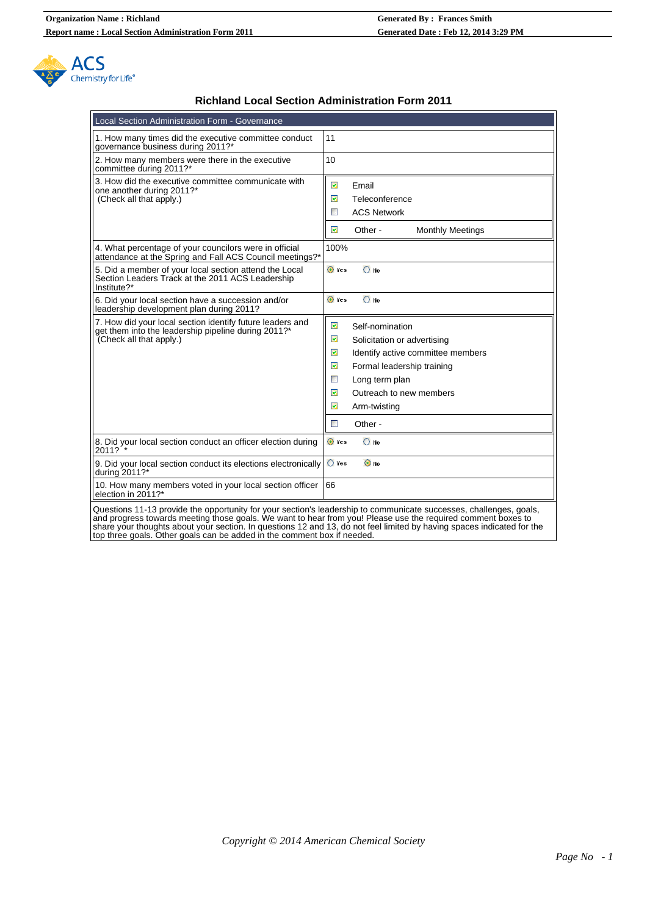

## **Richland Local Section Administration Form 2011**

| Local Section Administration Form - Governance                                                                                              |                                                                                                                                                                                                                                                               |  |  |
|---------------------------------------------------------------------------------------------------------------------------------------------|---------------------------------------------------------------------------------------------------------------------------------------------------------------------------------------------------------------------------------------------------------------|--|--|
| 1. How many times did the executive committee conduct<br>governance business during 2011?*                                                  | 11                                                                                                                                                                                                                                                            |  |  |
| 2. How many members were there in the executive<br>committee during 2011?*                                                                  | 10                                                                                                                                                                                                                                                            |  |  |
| 3. How did the executive committee communicate with<br>one another during 2011?*<br>(Check all that apply.)                                 | ☑<br>Email<br>☑<br>Teleconference<br><b>ACS Network</b><br>$\mathcal{L}_{\mathcal{A}}$<br>$\overline{\mathbf{v}}$<br>Other-<br><b>Monthly Meetings</b>                                                                                                        |  |  |
| 4. What percentage of your councilors were in official<br>attendance at the Spring and Fall ACS Council meetings?*                          | 100%                                                                                                                                                                                                                                                          |  |  |
| 5. Did a member of your local section attend the Local<br>Section Leaders Track at the 2011 ACS Leadership<br>Institute?*                   | O Yes<br>$\bigcirc$ No                                                                                                                                                                                                                                        |  |  |
| 6. Did your local section have a succession and/or<br>leadership development plan during 2011?                                              | $\bigcirc$ No<br>O Yes                                                                                                                                                                                                                                        |  |  |
| 7. How did your local section identify future leaders and<br>get them into the leadership pipeline during 2011?*<br>(Check all that apply.) | ☑<br>Self-nomination<br>☑<br>Solicitation or advertising<br>☑<br>Identify active committee members<br>☑<br>Formal leadership training<br>$\overline{\phantom{a}}$<br>Long term plan<br>☑<br>Outreach to new members<br>☑<br>Arm-twisting<br>$\Box$<br>Other - |  |  |
| 8. Did your local section conduct an officer election during<br>2011?                                                                       | O Yes<br>$\bigcirc$ No                                                                                                                                                                                                                                        |  |  |
| 9. Did your local section conduct its elections electronically<br>during 2011?*                                                             | $\bigcirc$ Yes<br>$\odot$ No                                                                                                                                                                                                                                  |  |  |
| 10. How many members voted in your local section officer<br>election in 2011?*                                                              | 66                                                                                                                                                                                                                                                            |  |  |

Questions 11-13 provide the opportunity for your section's leadership to communicate successes, challenges, goals, and progress towards meeting those goals. We want to hear from you! Please use the required comment boxes to share your thoughts about your section. In questions 12 and 13, do not feel limited by having spaces indicated for the top three goals. Other goals can be added in the comment box if needed.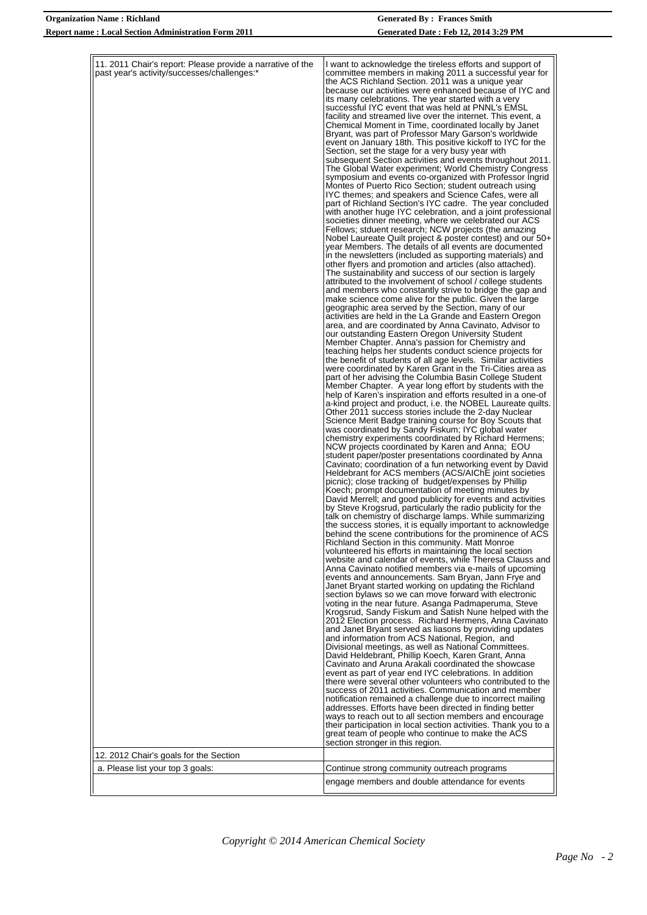| 11. 2011 Chair's report: Please provide a narrative of the<br>past year's activity/successes/challenges:* | I want to acknowledge the tireless efforts and support of<br>committee members in making 2011 a successful year for<br>the ACS Richland Section. 2011 was a unique year<br>because our activities were enhanced because of IYC and<br>its many celebrations. The year started with a very<br>successful IYC event that was held at PNNL's EMSL<br>facility and streamed live over the internet. This event, a<br>Chemical Moment in Time, coordinated locally by Janet<br>Bryant, was part of Professor Mary Garson's worldwide<br>event on January 18th. This positive kickoff to IYC for the<br>Section, set the stage for a very busy year with<br>subsequent Section activities and events throughout 2011.<br>The Global Water experiment; World Chemistry Congress<br>symposium and events co-organized with Professor Ingrid<br>Montes of Puerto Rico Section; student outreach using<br>IYC themes; and speakers and Science Cafes, were all<br>part of Richland Section's IYC cadre. The year concluded<br>with another huge IYC celebration, and a joint professional<br>societies dinner meeting, where we celebrated our ACS<br>Fellows; stduent research; NCW projects (the amazing<br>Nobel Laureate Quilt project & poster contest) and our 50+<br>year Members. The details of all events are documented<br>in the newsletters (included as supporting materials) and<br>other flyers and promotion and articles (also attached).<br>The sustainability and success of our section is largely<br>attributed to the involvement of school / college students<br>and members who constantly strive to bridge the gap and<br>make science come alive for the public. Given the large<br>geographic area served by the Section, many of our<br>activities are held in the La Grande and Eastern Oregon<br>area, and are coordinated by Anna Cavinato, Advisor to<br>our outstanding Eastern Oregon University Student<br>Member Chapter. Anna's passion for Chemistry and<br>teaching helps her students conduct science projects for<br>the benefit of students of all age levels. Similar activities<br>were coordinated by Karen Grant in the Tri-Cities area as<br>part of her advising the Columbia Basin College Student<br>Member Chapter. A year long effort by students with the<br>help of Karen's inspiration and efforts resulted in a one-of<br>a-kind project and product, i.e. the NOBEL Laureate quilts.<br>Other 2011 success stories include the 2-day Nuclear<br>Science Merit Badge training course for Boy Scouts that<br>was coordinated by Sandy Fiskum; IYC global water<br>chemistry experiments coordinated by Richard Hermens;<br>NCW projects coordinated by Karen and Anna; EOU<br>student paper/poster presentations coordinated by Anna<br>Cavinato; coordination of a fun networking event by David<br>Heldebrant for ACS members (ACS/AIChE joint societies<br>picnic); close tracking of budget/expenses by Phillip<br>Koech; prompt documentation of meeting minutes by<br>David Merrell; and good publicity for events and activities<br>by Steve Krogsrud, particularly the radio publicity for the<br>talk on chemistry of discharge lamps. While summarizing<br>the success stories, it is equally important to acknowledge<br>behind the scene contributions for the prominence of ACS<br>Richland Section in this community. Matt Monroe<br>volunteered his efforts in maintaining the local section<br>website and calendar of events, while Theresa Clauss and<br>Anna Cavinato notified members via e-mails of upcoming<br>events and announcements. Sam Bryan, Jann Frye and<br>Janet Bryant started working on updating the Richland<br>section bylaws so we can move forward with electronic<br>voting in the near future. Asanga Padmaperuma, Steve<br>Krogsrud, Sandy Fiskum and Satish Nune helped with the<br>2012 Election process. Richard Hermens, Anna Cavinato<br>and Janet Bryant served as liasons by providing updates<br>and information from ACS National, Region, and<br>Divisional meetings, as well as National Committees.<br>David Heldebrant, Phillip Koech, Karen Grant, Anna<br>Cavinato and Aruna Arakali coordinated the showcase<br>event as part of year end IYC celebrations. In addition<br>there were several other volunteers who contributed to the<br>success of 2011 activities. Communication and member<br>notification remained a challenge due to incorrect mailing<br>addresses. Efforts have been directed in finding better<br>ways to reach out to all section members and encourage<br>their participation in local section activities. Thank you to a |
|-----------------------------------------------------------------------------------------------------------|-------------------------------------------------------------------------------------------------------------------------------------------------------------------------------------------------------------------------------------------------------------------------------------------------------------------------------------------------------------------------------------------------------------------------------------------------------------------------------------------------------------------------------------------------------------------------------------------------------------------------------------------------------------------------------------------------------------------------------------------------------------------------------------------------------------------------------------------------------------------------------------------------------------------------------------------------------------------------------------------------------------------------------------------------------------------------------------------------------------------------------------------------------------------------------------------------------------------------------------------------------------------------------------------------------------------------------------------------------------------------------------------------------------------------------------------------------------------------------------------------------------------------------------------------------------------------------------------------------------------------------------------------------------------------------------------------------------------------------------------------------------------------------------------------------------------------------------------------------------------------------------------------------------------------------------------------------------------------------------------------------------------------------------------------------------------------------------------------------------------------------------------------------------------------------------------------------------------------------------------------------------------------------------------------------------------------------------------------------------------------------------------------------------------------------------------------------------------------------------------------------------------------------------------------------------------------------------------------------------------------------------------------------------------------------------------------------------------------------------------------------------------------------------------------------------------------------------------------------------------------------------------------------------------------------------------------------------------------------------------------------------------------------------------------------------------------------------------------------------------------------------------------------------------------------------------------------------------------------------------------------------------------------------------------------------------------------------------------------------------------------------------------------------------------------------------------------------------------------------------------------------------------------------------------------------------------------------------------------------------------------------------------------------------------------------------------------------------------------------------------------------------------------------------------------------------------------------------------------------------------------------------------------------------------------------------------------------------------------------------------------------------------------------------------------------------------------------------------------------------------------------------------------------------------------------------------------------------------------------------------------------------------------------------------------------------------------------------------------------------------------------------------------------------------------------------------------------------------------------------------------------------------------------------------------------------------------------------------------------------------------------------------------------|
|                                                                                                           | great team of people who continue to make the ACS                                                                                                                                                                                                                                                                                                                                                                                                                                                                                                                                                                                                                                                                                                                                                                                                                                                                                                                                                                                                                                                                                                                                                                                                                                                                                                                                                                                                                                                                                                                                                                                                                                                                                                                                                                                                                                                                                                                                                                                                                                                                                                                                                                                                                                                                                                                                                                                                                                                                                                                                                                                                                                                                                                                                                                                                                                                                                                                                                                                                                                                                                                                                                                                                                                                                                                                                                                                                                                                                                                                                                                                                                                                                                                                                                                                                                                                                                                                                                                                                                                                                                                                                                                                                                                                                                                                                                                                                                                                                                                                                                                                                           |
|                                                                                                           | section stronger in this region.                                                                                                                                                                                                                                                                                                                                                                                                                                                                                                                                                                                                                                                                                                                                                                                                                                                                                                                                                                                                                                                                                                                                                                                                                                                                                                                                                                                                                                                                                                                                                                                                                                                                                                                                                                                                                                                                                                                                                                                                                                                                                                                                                                                                                                                                                                                                                                                                                                                                                                                                                                                                                                                                                                                                                                                                                                                                                                                                                                                                                                                                                                                                                                                                                                                                                                                                                                                                                                                                                                                                                                                                                                                                                                                                                                                                                                                                                                                                                                                                                                                                                                                                                                                                                                                                                                                                                                                                                                                                                                                                                                                                                            |
| 12. 2012 Chair's goals for the Section                                                                    |                                                                                                                                                                                                                                                                                                                                                                                                                                                                                                                                                                                                                                                                                                                                                                                                                                                                                                                                                                                                                                                                                                                                                                                                                                                                                                                                                                                                                                                                                                                                                                                                                                                                                                                                                                                                                                                                                                                                                                                                                                                                                                                                                                                                                                                                                                                                                                                                                                                                                                                                                                                                                                                                                                                                                                                                                                                                                                                                                                                                                                                                                                                                                                                                                                                                                                                                                                                                                                                                                                                                                                                                                                                                                                                                                                                                                                                                                                                                                                                                                                                                                                                                                                                                                                                                                                                                                                                                                                                                                                                                                                                                                                                             |
|                                                                                                           |                                                                                                                                                                                                                                                                                                                                                                                                                                                                                                                                                                                                                                                                                                                                                                                                                                                                                                                                                                                                                                                                                                                                                                                                                                                                                                                                                                                                                                                                                                                                                                                                                                                                                                                                                                                                                                                                                                                                                                                                                                                                                                                                                                                                                                                                                                                                                                                                                                                                                                                                                                                                                                                                                                                                                                                                                                                                                                                                                                                                                                                                                                                                                                                                                                                                                                                                                                                                                                                                                                                                                                                                                                                                                                                                                                                                                                                                                                                                                                                                                                                                                                                                                                                                                                                                                                                                                                                                                                                                                                                                                                                                                                                             |
| a. Please list your top 3 goals:                                                                          | Continue strong community outreach programs                                                                                                                                                                                                                                                                                                                                                                                                                                                                                                                                                                                                                                                                                                                                                                                                                                                                                                                                                                                                                                                                                                                                                                                                                                                                                                                                                                                                                                                                                                                                                                                                                                                                                                                                                                                                                                                                                                                                                                                                                                                                                                                                                                                                                                                                                                                                                                                                                                                                                                                                                                                                                                                                                                                                                                                                                                                                                                                                                                                                                                                                                                                                                                                                                                                                                                                                                                                                                                                                                                                                                                                                                                                                                                                                                                                                                                                                                                                                                                                                                                                                                                                                                                                                                                                                                                                                                                                                                                                                                                                                                                                                                 |
|                                                                                                           | engage members and double attendance for events                                                                                                                                                                                                                                                                                                                                                                                                                                                                                                                                                                                                                                                                                                                                                                                                                                                                                                                                                                                                                                                                                                                                                                                                                                                                                                                                                                                                                                                                                                                                                                                                                                                                                                                                                                                                                                                                                                                                                                                                                                                                                                                                                                                                                                                                                                                                                                                                                                                                                                                                                                                                                                                                                                                                                                                                                                                                                                                                                                                                                                                                                                                                                                                                                                                                                                                                                                                                                                                                                                                                                                                                                                                                                                                                                                                                                                                                                                                                                                                                                                                                                                                                                                                                                                                                                                                                                                                                                                                                                                                                                                                                             |
|                                                                                                           |                                                                                                                                                                                                                                                                                                                                                                                                                                                                                                                                                                                                                                                                                                                                                                                                                                                                                                                                                                                                                                                                                                                                                                                                                                                                                                                                                                                                                                                                                                                                                                                                                                                                                                                                                                                                                                                                                                                                                                                                                                                                                                                                                                                                                                                                                                                                                                                                                                                                                                                                                                                                                                                                                                                                                                                                                                                                                                                                                                                                                                                                                                                                                                                                                                                                                                                                                                                                                                                                                                                                                                                                                                                                                                                                                                                                                                                                                                                                                                                                                                                                                                                                                                                                                                                                                                                                                                                                                                                                                                                                                                                                                                                             |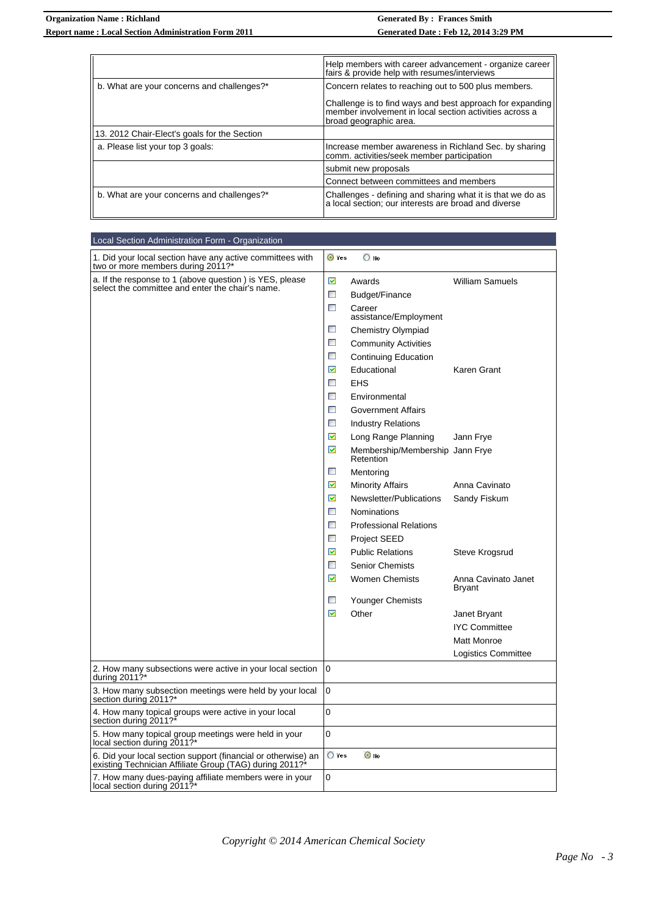|                                              | Help members with career advancement - organize career<br>fairs & provide help with resumes/interviews                                         |  |
|----------------------------------------------|------------------------------------------------------------------------------------------------------------------------------------------------|--|
| b. What are your concerns and challenges?*   | Concern relates to reaching out to 500 plus members.                                                                                           |  |
|                                              | Challenge is to find ways and best approach for expanding<br>member involvement in local section activities across a<br>broad geographic area. |  |
| 13. 2012 Chair-Elect's goals for the Section |                                                                                                                                                |  |
| a. Please list your top 3 goals:             | Increase member awareness in Richland Sec. by sharing<br>comm. activities/seek member participation                                            |  |
|                                              | submit new proposals                                                                                                                           |  |
|                                              | Connect between committees and members                                                                                                         |  |
| b. What are your concerns and challenges?*   | Challenges - defining and sharing what it is that we do as<br>a local section; our interests are broad and diverse                             |  |

| Local Section Administration Form - Organization                                                                         |                                                                    |
|--------------------------------------------------------------------------------------------------------------------------|--------------------------------------------------------------------|
| 1. Did your local section have any active committees with<br>two or more members during 2011?*                           | O Yes<br>$\overline{O}$ No                                         |
| a. If the response to 1 (above question) is YES, please                                                                  | M<br><b>William Samuels</b><br>Awards                              |
| select the committee and enter the chair's name.                                                                         | $\mathcal{V}_{\mathcal{A}}$<br>Budget/Finance                      |
|                                                                                                                          | $\overline{\mathbb{R}^2}$<br>Career<br>assistance/Employment       |
|                                                                                                                          | $\mathcal{C}_{\mathcal{A}}$<br><b>Chemistry Olympiad</b>           |
|                                                                                                                          | $\Box$<br><b>Community Activities</b>                              |
|                                                                                                                          | $\mathcal{L}_{\mathcal{A}}$<br><b>Continuing Education</b>         |
|                                                                                                                          | ☑<br>Educational<br>Karen Grant                                    |
|                                                                                                                          | <b>EHS</b>                                                         |
|                                                                                                                          | $\mathcal{L}_{\mathcal{A}}$<br>Environmental                       |
|                                                                                                                          | $\mathbb{R}^n$<br><b>Government Affairs</b>                        |
|                                                                                                                          | $\Box$<br><b>Industry Relations</b>                                |
|                                                                                                                          | ☑<br>Long Range Planning<br>Jann Frye                              |
|                                                                                                                          | ☑<br>Membership/Membership Jann Frye<br><b>Retention</b>           |
|                                                                                                                          | $\mathbb{R}^n$<br>Mentoring                                        |
|                                                                                                                          | $\blacktriangledown$<br><b>Minority Affairs</b><br>Anna Cavinato   |
|                                                                                                                          | ☑<br>Newsletter/Publications<br>Sandy Fiskum                       |
|                                                                                                                          | $\Box$<br><b>Nominations</b>                                       |
|                                                                                                                          | $\mathcal{C}_{\mathcal{A}}$<br><b>Professional Relations</b>       |
|                                                                                                                          | $\mathcal{L}_{\mathcal{A}}$<br><b>Project SEED</b>                 |
|                                                                                                                          | ☑<br><b>Public Relations</b><br>Steve Krogsrud                     |
|                                                                                                                          | <b>Senior Chemists</b>                                             |
|                                                                                                                          | ☑<br><b>Women Chemists</b><br>Anna Cavinato Janet<br><b>Bryant</b> |
|                                                                                                                          | $\mathcal{L}_{\mathcal{S}}$<br><b>Younger Chemists</b>             |
|                                                                                                                          | ☑<br>Other<br>Janet Bryant                                         |
|                                                                                                                          | <b>IYC Committee</b>                                               |
|                                                                                                                          | Matt Monroe                                                        |
|                                                                                                                          | Logistics Committee                                                |
| 2. How many subsections were active in your local section<br>during 2011?*                                               | 0                                                                  |
| 3. How many subsection meetings were held by your local<br>section during 2011?*                                         | 0                                                                  |
| 4. How many topical groups were active in your local<br>section during 2011?                                             | 0                                                                  |
| 5. How many topical group meetings were held in your<br>local section during 2011?*                                      | 0                                                                  |
| 6. Did your local section support (financial or otherwise) an<br>existing Technician Affiliate Group (TAG) during 2011?* | $\bigcirc$ Yes<br>$\odot$ No                                       |
| 7. How many dues-paying affiliate members were in your<br>local section during 2011?*                                    | 0                                                                  |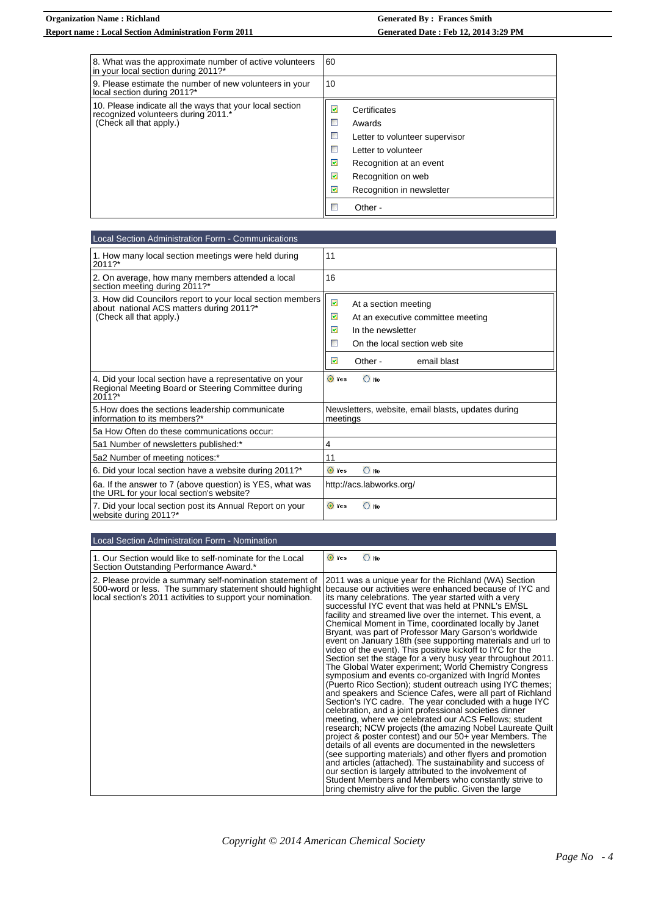| 8. What was the approximate number of active volunteers<br>in your local section during 2011?*                             | 60                                                                                                                                                                                          |
|----------------------------------------------------------------------------------------------------------------------------|---------------------------------------------------------------------------------------------------------------------------------------------------------------------------------------------|
| 9. Please estimate the number of new volunteers in your<br>local section during 2011?*                                     | 10                                                                                                                                                                                          |
| 10. Please indicate all the ways that your local section<br>recognized volunteers during 2011.*<br>(Check all that apply.) | ☑<br>Certificates<br>Awards<br>Letter to volunteer supervisor<br>Letter to volunteer<br>☑<br>Recognition at an event<br>☑<br>Recognition on web<br>☑<br>Recognition in newsletter<br>Other- |

| Local Section Administration Form - Communications                                                                                |                                                                                                                                                                     |  |  |
|-----------------------------------------------------------------------------------------------------------------------------------|---------------------------------------------------------------------------------------------------------------------------------------------------------------------|--|--|
| 1. How many local section meetings were held during<br>2011?*                                                                     | 11                                                                                                                                                                  |  |  |
| 2. On average, how many members attended a local<br>section meeting during 2011?*                                                 | 16                                                                                                                                                                  |  |  |
| 3. How did Councilors report to your local section members<br>about national ACS matters during 2011?*<br>(Check all that apply.) | M<br>At a section meeting<br>⊠<br>At an executive committee meeting<br>☑<br>In the newsletter<br>D.<br>On the local section web site<br>☑<br>Other -<br>email blast |  |  |
| 4. Did your local section have a representative on your<br>Regional Meeting Board or Steering Committee during<br>2011?*          | O Yes<br>$\bigcirc$ No                                                                                                                                              |  |  |
| 5. How does the sections leadership communicate<br>information to its members?*                                                   | Newsletters, website, email blasts, updates during<br>meetings                                                                                                      |  |  |
| 5a How Often do these communications occur:                                                                                       |                                                                                                                                                                     |  |  |
| 5a1 Number of newsletters published:*                                                                                             | 4                                                                                                                                                                   |  |  |
| 5a2 Number of meeting notices:*                                                                                                   | 11                                                                                                                                                                  |  |  |
| 6. Did your local section have a website during 2011?*                                                                            | $\bigcirc$ No<br>O Yes                                                                                                                                              |  |  |
| 6a. If the answer to 7 (above question) is YES, what was<br>the URL for your local section's website?                             | http://acs.labworks.org/                                                                                                                                            |  |  |
| 7. Did your local section post its Annual Report on your<br>website during 2011?*                                                 | O Yes<br>$\bigcirc$ No                                                                                                                                              |  |  |

| Local Section Administration Form - Nomination                                                                                                                                      |                                                                                                                                                                                                                                                                                                                                                                                                                                                                                                                                                                                                                                                                                                                                                                                                                                                                                                                                                                                                                                                                                                                                                                                                                                                                                                                                                                                                                                                                                                                           |
|-------------------------------------------------------------------------------------------------------------------------------------------------------------------------------------|---------------------------------------------------------------------------------------------------------------------------------------------------------------------------------------------------------------------------------------------------------------------------------------------------------------------------------------------------------------------------------------------------------------------------------------------------------------------------------------------------------------------------------------------------------------------------------------------------------------------------------------------------------------------------------------------------------------------------------------------------------------------------------------------------------------------------------------------------------------------------------------------------------------------------------------------------------------------------------------------------------------------------------------------------------------------------------------------------------------------------------------------------------------------------------------------------------------------------------------------------------------------------------------------------------------------------------------------------------------------------------------------------------------------------------------------------------------------------------------------------------------------------|
| 1. Our Section would like to self-nominate for the Local<br>Section Outstanding Performance Award.*                                                                                 | O Yes<br>$\bigcirc$ No                                                                                                                                                                                                                                                                                                                                                                                                                                                                                                                                                                                                                                                                                                                                                                                                                                                                                                                                                                                                                                                                                                                                                                                                                                                                                                                                                                                                                                                                                                    |
| 2. Please provide a summary self-nomination statement of<br>500-word or less. The summary statement should highlight<br>local section's 2011 activities to support your nomination. | 2011 was a unique year for the Richland (WA) Section<br>Ibecause our activities were enhanced because of IYC and<br>its many celebrations. The year started with a very<br>successful IYC event that was held at PNNL's EMSL<br>facility and streamed live over the internet. This event, a<br>Chemical Moment in Time, coordinated locally by Janet<br>Bryant, was part of Professor Mary Garson's worldwide<br>event on January 18th (see supporting materials and url to<br>video of the event). This positive kickoff to IYC for the<br>Section set the stage for a very busy year throughout 2011.<br>The Global Water experiment; World Chemistry Congress<br>symposium and events co-organized with Ingrid Montes<br>(Puerto Rico Section); student outreach using IYC themes;<br>and speakers and Science Cafes, were all part of Richland<br>Section's IYC cadre. The year concluded with a huge IYC<br>celebration, and a joint professional societies dinner<br>meeting, where we celebrated our ACS Fellows; student<br>research; NCW projects (the amazing Nobel Laureate Quilt<br>project & poster contest) and our 50+ year Members. The<br>details of all events are documented in the newsletters<br>(see supporting materials) and other flyers and promotion<br>and articles (attached). The sustainability and success of<br>our section is largely attributed to the involvement of<br>Student Members and Members who constantly strive to<br>bring chemistry alive for the public. Given the large |

*Copyright © 2014 American Chemical Society*